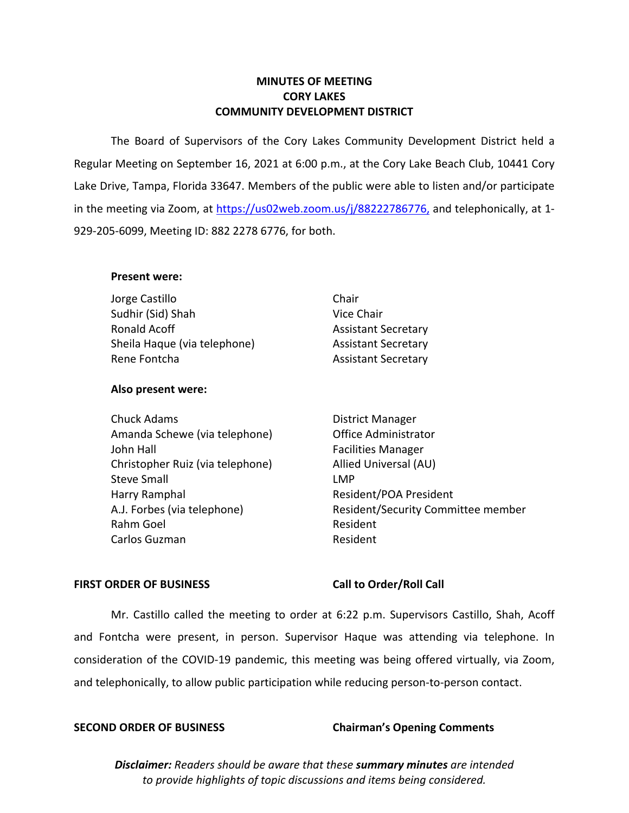# **MINUTES OF MEETING CORY LAKES COMMUNITY DEVELOPMENT DISTRICT**

The Board of Supervisors of the Cory Lakes Community Development District held a Regular Meeting on September 16, 2021 at 6:00 p.m., at the Cory Lake Beach Club, 10441 Cory Lake Drive, Tampa, Florida 33647. Members of the public were able to listen and/or participate in the meeting via Zoom, at [https://us02web.zoom.us/j/88](https://us02web.zoom.us/j/8)222786776, and telephonically, at 1-929-205-6099, Meeting ID: 882 2278 6776, for both.

## **Present were:**

| Jorge Castillo               | Chair                      |
|------------------------------|----------------------------|
| Sudhir (Sid) Shah            | Vice Chair                 |
| Ronald Acoff                 | <b>Assistant Secretary</b> |
| Sheila Haque (via telephone) | <b>Assistant Secretary</b> |
| Rene Fontcha                 | <b>Assistant Secretary</b> |
|                              |                            |

## **Also present were:**

Chuck Adams **District Manager** Amanda Schewe (via telephone) Office Administrator John Hall Facilities Manager Christopher Ruiz (via telephone) Allied Universal (AU) Steve Small **Steve Small** Harry Ramphal **Resident/POA President** A.J. Forbes (via telephone) Resident/Security Committee member Rahm Goel **Resident** Resident Carlos Guzman **Resident** 

## FIRST ORDER OF BUSINESS Call to Order/Roll Call

Mr. Castillo called the meeting to order at 6:22 p.m. Supervisors Castillo, Shah, Acoff and Fontcha were present, in person. Supervisor Haque was attending via telephone. In consideration of the COVID-19 pandemic, this meeting was being offered virtually, via Zoom, and telephonically, to allow public participation while reducing person-to-person contact.

# **SECOND ORDER OF BUSINESS Chairman's Opening Comments**

*Disclaimer: Readers should be aware that these summary minutes are intended to provide highlights of topic discussions and items being considered.*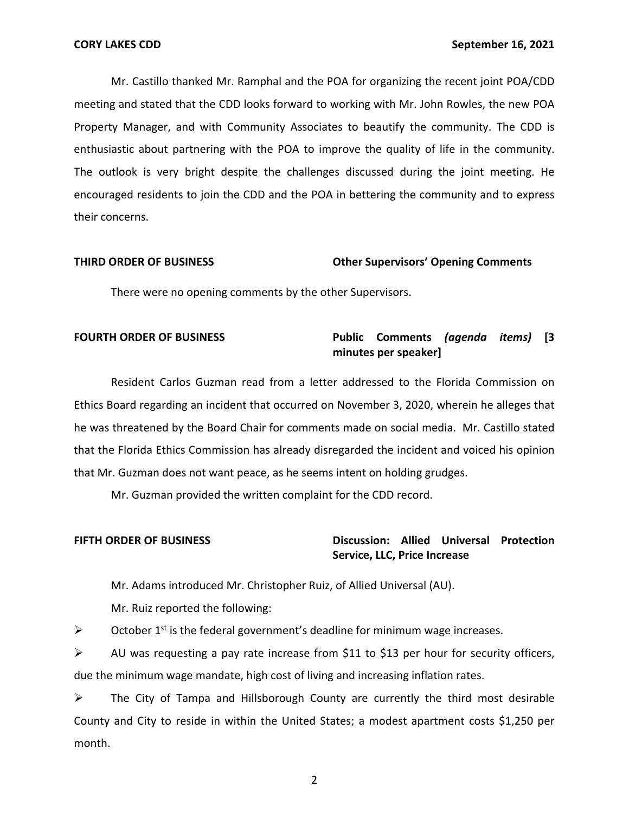Mr. Castillo thanked Mr. Ramphal and the POA for organizing the recent joint POA/CDD meeting and stated that the CDD looks forward to working with Mr. John Rowles, the new POA Property Manager, and with Community Associates to beautify the community. The CDD is enthusiastic about partnering with the POA to improve the quality of life in the community. The outlook is very bright despite the challenges discussed during the joint meeting. He encouraged residents to join the CDD and the POA in bettering the community and to express their concerns.

### **THIRD ORDER OF BUSINESS Other Supervisors' Opening Comments**

There were no opening comments by the other Supervisors.

# **FOURTH ORDER OF BUSINESS Public Comments** *(agenda items)* **[3 minutes per speaker]**

Resident Carlos Guzman read from a letter addressed to the Florida Commission on Ethics Board regarding an incident that occurred on November 3, 2020, wherein he alleges that he was threatened by the Board Chair for comments made on social media. Mr. Castillo stated that the Florida Ethics Commission has already disregarded the incident and voiced his opinion that Mr. Guzman does not want peace, as he seems intent on holding grudges.

Mr. Guzman provided the written complaint for the CDD record.

## **FIFTH ORDER OF BUSINESS Discussion: Allied Universal Protection Service, LLC, Price Increase**

Mr. Adams introduced Mr. Christopher Ruiz, of Allied Universal (AU).

Mr. Ruiz reported the following:

 $\triangleright$  October 1<sup>st</sup> is the federal government's deadline for minimum wage increases.

 $\triangleright$  AU was requesting a pay rate increase from \$11 to \$13 per hour for security officers, due the minimum wage mandate, high cost of living and increasing inflation rates.

 $\triangleright$  The City of Tampa and Hillsborough County are currently the third most desirable County and City to reside in within the United States; a modest apartment costs \$1,250 per month.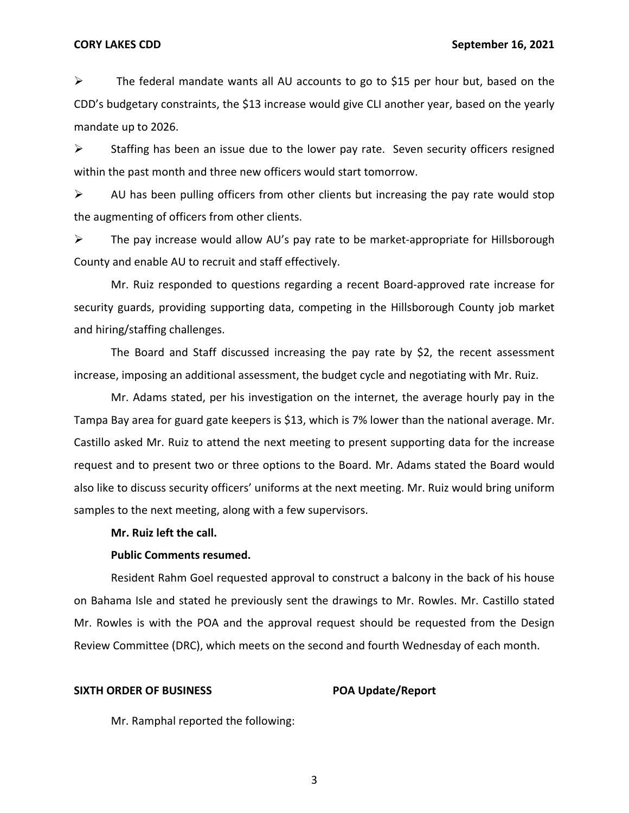$\triangleright$  The federal mandate wants all AU accounts to go to \$15 per hour but, based on the CDD's budgetary constraints, the \$13 increase would give CLI another year, based on the yearly mandate up to 2026.

 $\triangleright$  Staffing has been an issue due to the lower pay rate. Seven security officers resigned within the past month and three new officers would start tomorrow.

 $\triangleright$  AU has been pulling officers from other clients but increasing the pay rate would stop the augmenting of officers from other clients.

➢ The pay increase would allow AU's pay rate to be market-appropriate for Hillsborough County and enable AU to recruit and staff effectively.

Mr. Ruiz responded to questions regarding a recent Board-approved rate increase for security guards, providing supporting data, competing in the Hillsborough County job market and hiring/staffing challenges.

The Board and Staff discussed increasing the pay rate by \$2, the recent assessment increase, imposing an additional assessment, the budget cycle and negotiating with Mr. Ruiz.

Mr. Adams stated, per his investigation on the internet, the average hourly pay in the Tampa Bay area for guard gate keepers is \$13, which is 7% lower than the national average. Mr. Castillo asked Mr. Ruiz to attend the next meeting to present supporting data for the increase request and to present two or three options to the Board. Mr. Adams stated the Board would also like to discuss security officers' uniforms at the next meeting. Mr. Ruiz would bring uniform samples to the next meeting, along with a few supervisors.

### **Mr. Ruiz left the call.**

### **Public Comments resumed.**

Resident Rahm Goel requested approval to construct a balcony in the back of his house on Bahama Isle and stated he previously sent the drawings to Mr. Rowles. Mr. Castillo stated Mr. Rowles is with the POA and the approval request should be requested from the Design Review Committee (DRC), which meets on the second and fourth Wednesday of each month.

### SIXTH ORDER OF BUSINESS **POA Update/Report**

Mr. Ramphal reported the following: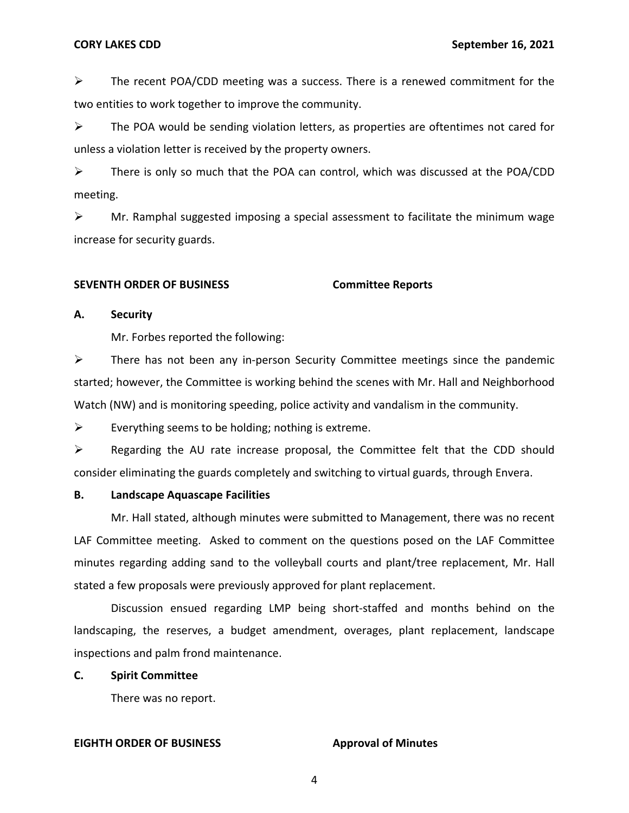$\triangleright$  The recent POA/CDD meeting was a success. There is a renewed commitment for the two entities to work together to improve the community.

 $\triangleright$  The POA would be sending violation letters, as properties are oftentimes not cared for unless a violation letter is received by the property owners.

➢ There is only so much that the POA can control, which was discussed at the POA/CDD meeting.

 $\triangleright$  Mr. Ramphal suggested imposing a special assessment to facilitate the minimum wage increase for security guards.

### **SEVENTH ORDER OF BUSINESS Committee Reports**

## **A. Security**

Mr. Forbes reported the following:

 $\triangleright$  There has not been any in-person Security Committee meetings since the pandemic started; however, the Committee is working behind the scenes with Mr. Hall and Neighborhood Watch (NW) and is monitoring speeding, police activity and vandalism in the community.

 $\triangleright$  Everything seems to be holding; nothing is extreme.

 $\triangleright$  Regarding the AU rate increase proposal, the Committee felt that the CDD should consider eliminating the guards completely and switching to virtual guards, through Envera.

## **B. Landscape Aquascape Facilities**

Mr. Hall stated, although minutes were submitted to Management, there was no recent LAF Committee meeting. Asked to comment on the questions posed on the LAF Committee minutes regarding adding sand to the volleyball courts and plant/tree replacement, Mr. Hall stated a few proposals were previously approved for plant replacement.

Discussion ensued regarding LMP being short-staffed and months behind on the landscaping, the reserves, a budget amendment, overages, plant replacement, landscape inspections and palm frond maintenance.

## **C. Spirit Committee**

There was no report.

## **EIGHTH ORDER OF BUSINESS Approval of Minutes**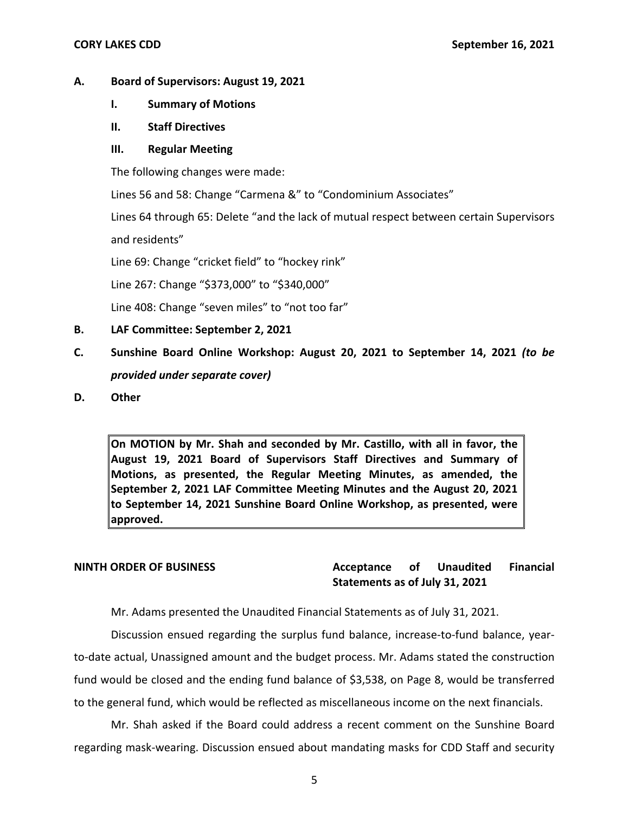# **A. Board of Supervisors: August 19, 2021**

- **I. Summary of Motions**
- **II. Staff Directives**

# **III. Regular Meeting**

The following changes were made:

Lines 56 and 58: Change "Carmena &" to "Condominium Associates"

Lines 64 through 65: Delete "and the lack of mutual respect between certain Supervisors and residents"

Line 69: Change "cricket field" to "hockey rink"

Line 267: Change "\$373,000" to "\$340,000"

Line 408: Change "seven miles" to "not too far"

- **B. LAF Committee: September 2, 2021**
- **C. Sunshine Board Online Workshop: August 20, 2021 to September 14, 2021** *(to be provided under separate cover)*
- **D. Other**

**On MOTION by Mr. Shah and seconded by Mr. Castillo, with all in favor, the August 19, 2021 Board of Supervisors Staff Directives and Summary of Motions, as presented, the Regular Meeting Minutes, as amended, the September 2, 2021 LAF Committee Meeting Minutes and the August 20, 2021 to September 14, 2021 Sunshine Board Online Workshop, as presented, were approved.** 

**NINTH ORDER OF BUSINESS Acceptance of Unaudited Financial Statements as of July 31, 2021** 

Mr. Adams presented the Unaudited Financial Statements as of July 31, 2021.

Discussion ensued regarding the surplus fund balance, increase-to-fund balance, yearto-date actual, Unassigned amount and the budget process. Mr. Adams stated the construction fund would be closed and the ending fund balance of \$3,538, on Page 8, would be transferred to the general fund, which would be reflected as miscellaneous income on the next financials.

Mr. Shah asked if the Board could address a recent comment on the Sunshine Board regarding mask-wearing. Discussion ensued about mandating masks for CDD Staff and security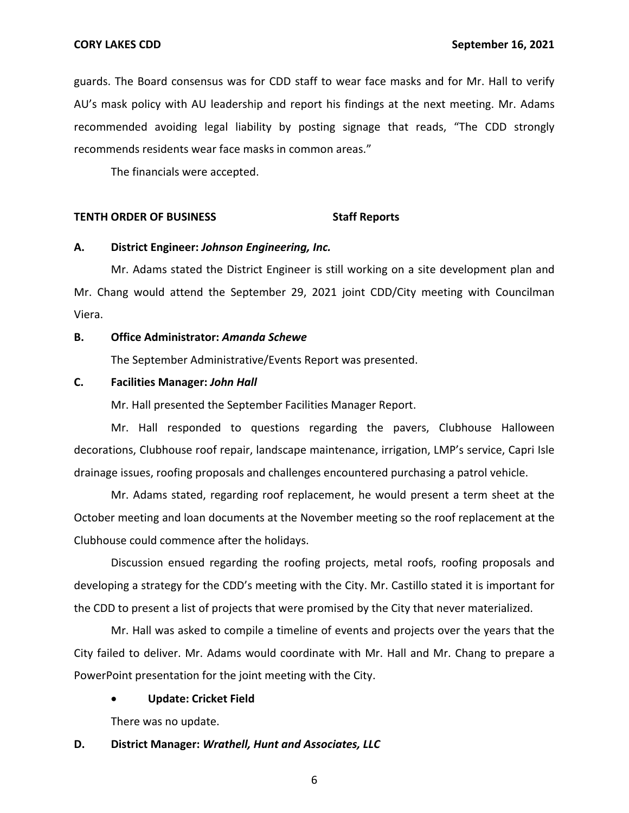guards. The Board consensus was for CDD staff to wear face masks and for Mr. Hall to verify AU's mask policy with AU leadership and report his findings at the next meeting. Mr. Adams recommended avoiding legal liability by posting signage that reads, "The CDD strongly recommends residents wear face masks in common areas."

The financials were accepted.

### **TENTH ORDER OF BUSINESS STATES STAFF REPORTS**

### **A. District Engineer:** *Johnson Engineering, Inc.*

Mr. Adams stated the District Engineer is still working on a site development plan and Mr. Chang would attend the September 29, 2021 joint CDD/City meeting with Councilman Viera.

## **B. Office Administrator:** *Amanda Schewe*

The September Administrative/Events Report was presented.

### **C. Facilities Manager:** *John Hall*

Mr. Hall presented the September Facilities Manager Report.

Mr. Hall responded to questions regarding the pavers, Clubhouse Halloween decorations, Clubhouse roof repair, landscape maintenance, irrigation, LMP's service, Capri Isle drainage issues, roofing proposals and challenges encountered purchasing a patrol vehicle.

Mr. Adams stated, regarding roof replacement, he would present a term sheet at the October meeting and loan documents at the November meeting so the roof replacement at the Clubhouse could commence after the holidays.

Discussion ensued regarding the roofing projects, metal roofs, roofing proposals and developing a strategy for the CDD's meeting with the City. Mr. Castillo stated it is important for the CDD to present a list of projects that were promised by the City that never materialized.

Mr. Hall was asked to compile a timeline of events and projects over the years that the City failed to deliver. Mr. Adams would coordinate with Mr. Hall and Mr. Chang to prepare a PowerPoint presentation for the joint meeting with the City.

### • **Update: Cricket Field**

There was no update.

### **D. District Manager:** *Wrathell, Hunt and Associates, LLC*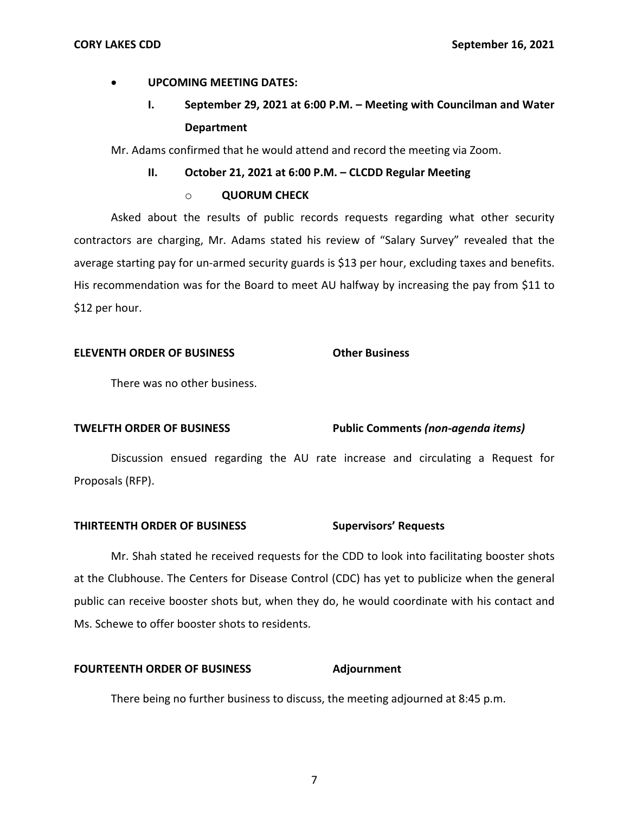# • **UPCOMING MEETING DATES:**

# **I. September 29, 2021 at 6:00 P.M. – Meeting with Councilman and Water Department**

Mr. Adams confirmed that he would attend and record the meeting via Zoom.

# **II.** October 21, 2021 at 6:00 P.M. - CLCDD Regular Meeting

# o **QUORUM CHECK**

Asked about the results of public records requests regarding what other security contractors are charging, Mr. Adams stated his review of "Salary Survey" revealed that the average starting pay for un-armed security guards is \$13 per hour, excluding taxes and benefits. His recommendation was for the Board to meet AU halfway by increasing the pay from \$11 to \$12 per hour.

# **ELEVENTH ORDER OF BUSINESS Other Business**

There was no other business.

## **TWELFTH ORDER OF BUSINESS Public Comments** *(non-agenda items)*

Discussion ensued regarding the AU rate increase and circulating a Request for Proposals (RFP).

# **THIRTEENTH ORDER OF BUSINESS** Supervisors' Requests

Mr. Shah stated he received requests for the CDD to look into facilitating booster shots at the Clubhouse. The Centers for Disease Control (CDC) has yet to publicize when the general public can receive booster shots but, when they do, he would coordinate with his contact and Ms. Schewe to offer booster shots to residents.

## **FOURTEENTH ORDER OF BUSINESS Adjournment**

There being no further business to discuss, the meeting adjourned at 8:45 p.m.